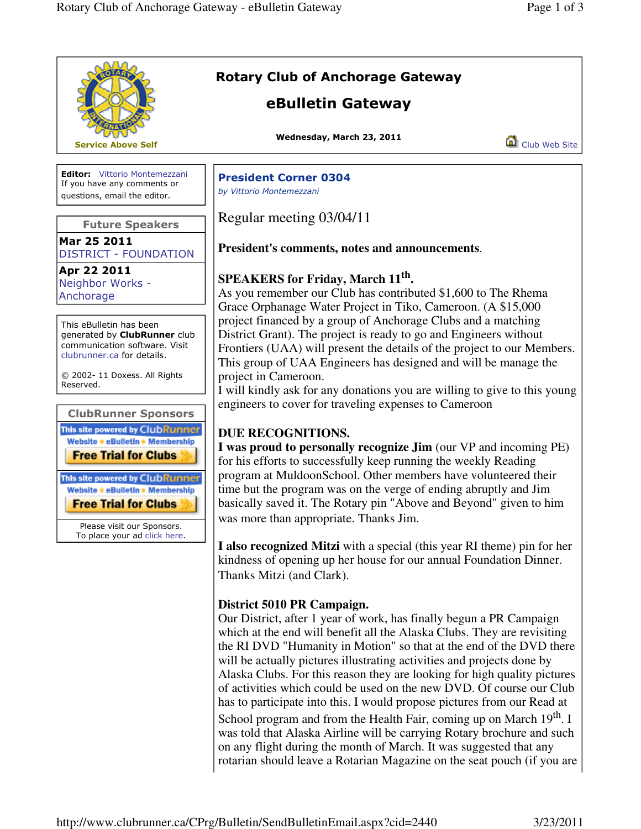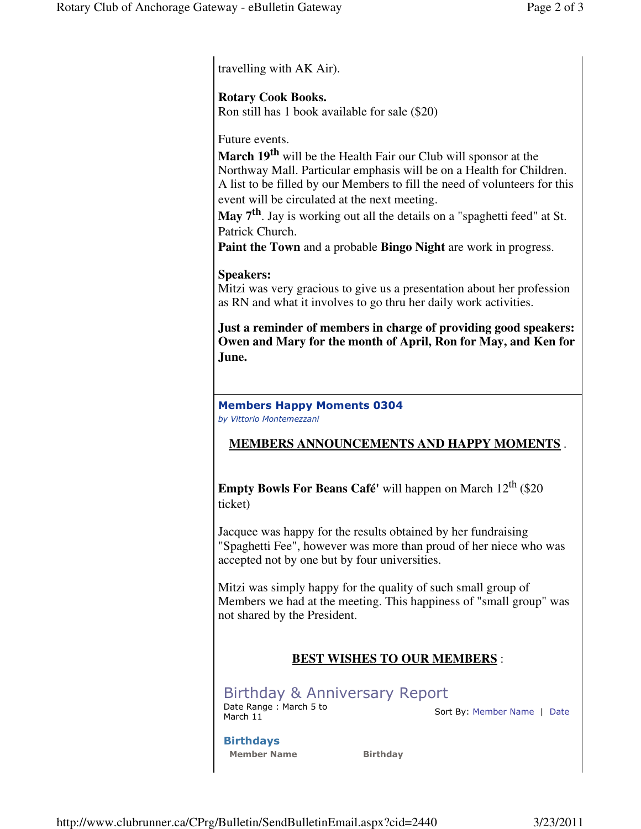travelling with AK Air).

#### **Rotary Cook Books.**

Ron still has 1 book available for sale (\$20)

Future events.

**March 19th** will be the Health Fair our Club will sponsor at the Northway Mall. Particular emphasis will be on a Health for Children. A list to be filled by our Members to fill the need of volunteers for this event will be circulated at the next meeting.

**May 7th**. Jay is working out all the details on a "spaghetti feed" at St. Patrick Church.

**Paint the Town** and a probable **Bingo Night** are work in progress.

#### **Speakers:**

Mitzi was very gracious to give us a presentation about her profession as RN and what it involves to go thru her daily work activities.

**Just a reminder of members in charge of providing good speakers: Owen and Mary for the month of April, Ron for May, and Ken for June.**

#### Members Happy Moments 0304 by Vittorio Montemezzani

## **MEMBERS ANNOUNCEMENTS AND HAPPY MOMENTS** .

**Empty Bowls For Beans Café'** will happen on March  $12^{th}$  (\$20) ticket)

Jacquee was happy for the results obtained by her fundraising "Spaghetti Fee", however was more than proud of her niece who was accepted not by one but by four universities.

Mitzi was simply happy for the quality of such small group of Members we had at the meeting. This happiness of "small group" was not shared by the President.

## **BEST WISHES TO OUR MEMBERS** :

Birthday & Anniversary Report Date Range: March 5 to<br>March 11

Sort By: Member Name | Date

# Birthdays

Member Name Birthday